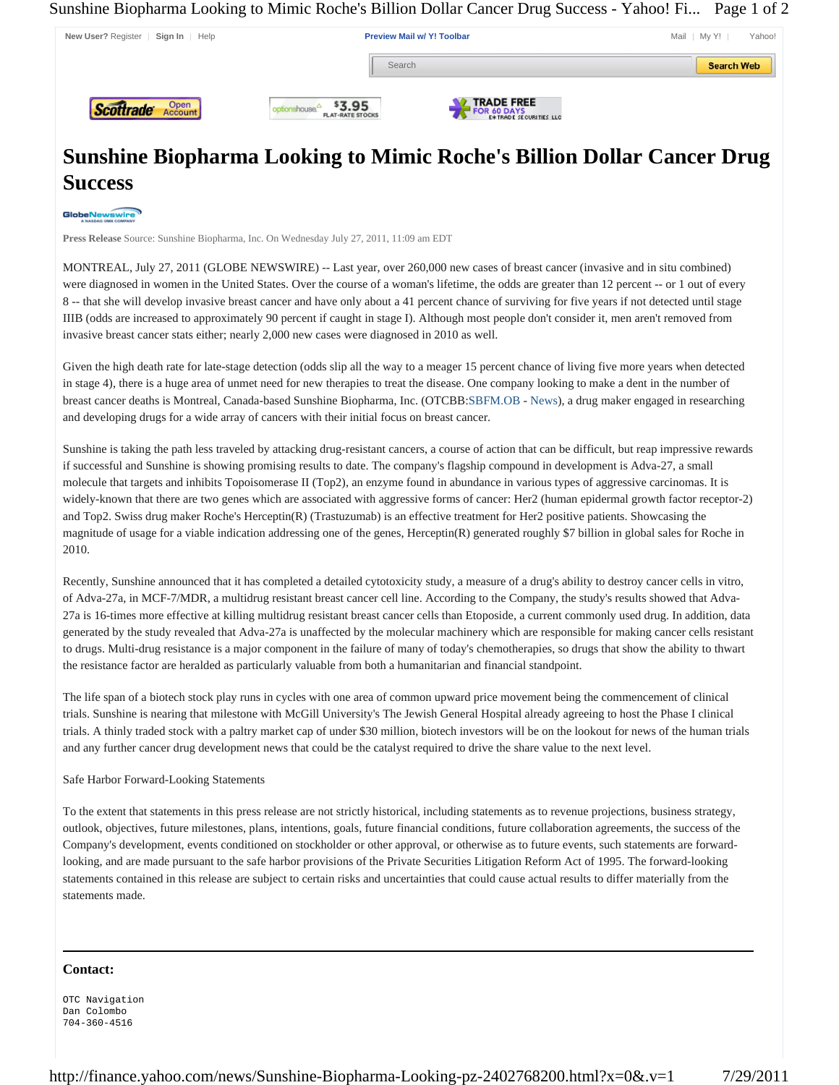Sunshine Biopharma Looking to Mimic Roche's Billion Dollar Cancer Drug Success - Yahoo! Fi... Page 1 of 2



## **Sunshine Biopharma Looking to Mimic Roche's Billion Dollar Cancer Drug Success**

## GlobeNewswire

**Press Release** Source: Sunshine Biopharma, Inc. On Wednesday July 27, 2011, 11:09 am EDT

MONTREAL, July 27, 2011 (GLOBE NEWSWIRE) -- Last year, over 260,000 new cases of breast cancer (invasive and in situ combined) were diagnosed in women in the United States. Over the course of a woman's lifetime, the odds are greater than 12 percent -- or 1 out of every 8 -- that she will develop invasive breast cancer and have only about a 41 percent chance of surviving for five years if not detected until stage IIIB (odds are increased to approximately 90 percent if caught in stage I). Although most people don't consider it, men aren't removed from invasive breast cancer stats either; nearly 2,000 new cases were diagnosed in 2010 as well.

Given the high death rate for late-stage detection (odds slip all the way to a meager 15 percent chance of living five more years when detected in stage 4), there is a huge area of unmet need for new therapies to treat the disease. One company looking to make a dent in the number of breast cancer deaths is Montreal, Canada-based Sunshine Biopharma, Inc. (OTCBB:SBFM.OB - News), a drug maker engaged in researching and developing drugs for a wide array of cancers with their initial focus on breast cancer.

Sunshine is taking the path less traveled by attacking drug-resistant cancers, a course of action that can be difficult, but reap impressive rewards if successful and Sunshine is showing promising results to date. The company's flagship compound in development is Adva-27, a small molecule that targets and inhibits Topoisomerase II (Top2), an enzyme found in abundance in various types of aggressive carcinomas. It is widely-known that there are two genes which are associated with aggressive forms of cancer: Her2 (human epidermal growth factor receptor-2) and Top2. Swiss drug maker Roche's Herceptin(R) (Trastuzumab) is an effective treatment for Her2 positive patients. Showcasing the magnitude of usage for a viable indication addressing one of the genes, Herceptin(R) generated roughly \$7 billion in global sales for Roche in 2010.

Recently, Sunshine announced that it has completed a detailed cytotoxicity study, a measure of a drug's ability to destroy cancer cells in vitro, of Adva-27a, in MCF-7/MDR, a multidrug resistant breast cancer cell line. According to the Company, the study's results showed that Adva-27a is 16-times more effective at killing multidrug resistant breast cancer cells than Etoposide, a current commonly used drug. In addition, data generated by the study revealed that Adva-27a is unaffected by the molecular machinery which are responsible for making cancer cells resistant to drugs. Multi-drug resistance is a major component in the failure of many of today's chemotherapies, so drugs that show the ability to thwart the resistance factor are heralded as particularly valuable from both a humanitarian and financial standpoint.

The life span of a biotech stock play runs in cycles with one area of common upward price movement being the commencement of clinical trials. Sunshine is nearing that milestone with McGill University's The Jewish General Hospital already agreeing to host the Phase I clinical trials. A thinly traded stock with a paltry market cap of under \$30 million, biotech investors will be on the lookout for news of the human trials and any further cancer drug development news that could be the catalyst required to drive the share value to the next level.

## Safe Harbor Forward-Looking Statements

To the extent that statements in this press release are not strictly historical, including statements as to revenue projections, business strategy, outlook, objectives, future milestones, plans, intentions, goals, future financial conditions, future collaboration agreements, the success of the Company's development, events conditioned on stockholder or other approval, or otherwise as to future events, such statements are forwardlooking, and are made pursuant to the safe harbor provisions of the Private Securities Litigation Reform Act of 1995. The forward-looking statements contained in this release are subject to certain risks and uncertainties that could cause actual results to differ materially from the statements made.

## **Contact:**

OTC Navigation Dan Colombo 704-360-4516

http://finance.yahoo.com/news/Sunshine-Biopharma-Looking-pz-2402768200.html?x=0&.v=1 7/29/2011